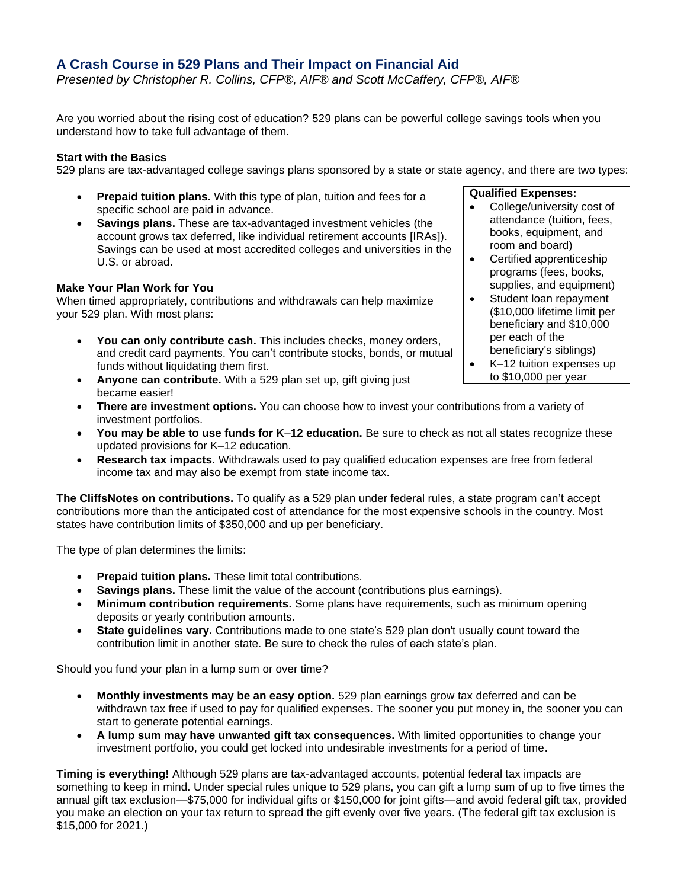# **A Crash Course in 529 Plans and Their Impact on Financial Aid**

*Presented by Christopher R. Collins, CFP®, AIF® and Scott McCaffery, CFP®, AIF®*

Are you worried about the rising cost of education? 529 plans can be powerful college savings tools when you understand how to take full advantage of them.

## **Start with the Basics**

529 plans are tax-advantaged college savings plans sponsored by a state or state agency, and there are two types:

- **Prepaid tuition plans.** With this type of plan, tuition and fees for a specific school are paid in advance.
- **Savings plans.** These are tax-advantaged investment vehicles (the account grows tax deferred, like individual retirement accounts [IRAs]). Savings can be used at most accredited colleges and universities in the U.S. or abroad.

# **Make Your Plan Work for You**

When timed appropriately, contributions and withdrawals can help maximize your 529 plan. With most plans:

- **You can only contribute cash.** This includes checks, money orders, and credit card payments. You can't contribute stocks, bonds, or mutual funds without liquidating them first.
- **Anyone can contribute.** With a 529 plan set up, gift giving just became easier!
- **There are investment options.** You can choose how to invest your contributions from a variety of investment portfolios.
- **You may be able to use funds for K**–**12 education.** Be sure to check as not all states recognize these updated provisions for K–12 education.
- **Research tax impacts.** Withdrawals used to pay qualified education expenses are free from federal income tax and may also be exempt from state income tax.

**The CliffsNotes on contributions.** To qualify as a 529 plan under federal rules, a state program can't accept contributions more than the anticipated cost of attendance for the most expensive schools in the country. Most states have contribution limits of \$350,000 and up per beneficiary.

The type of plan determines the limits:

- **Prepaid tuition plans.** These limit total contributions.
- **Savings plans.** These limit the value of the account (contributions plus earnings).
- **Minimum contribution requirements.** Some plans have requirements, such as minimum opening deposits or yearly contribution amounts.
- **State guidelines vary.** Contributions made to one state's 529 plan don't usually count toward the contribution limit in another state. Be sure to check the rules of each state's plan.

Should you fund your plan in a lump sum or over time?

- **Monthly investments may be an easy option.** 529 plan earnings grow tax deferred and can be withdrawn tax free if used to pay for qualified expenses. The sooner you put money in, the sooner you can start to generate potential earnings.
- **A lump sum may have unwanted gift tax consequences.** With limited opportunities to change your investment portfolio, you could get locked into undesirable investments for a period of time.

**Timing is everything!** Although 529 plans are tax-advantaged accounts, potential federal tax impacts are something to keep in mind. Under special rules unique to 529 plans, you can gift a lump sum of up to five times the annual gift tax exclusion—\$75,000 for individual gifts or \$150,000 for joint gifts—and avoid federal gift tax, provided you make an election on your tax return to spread the gift evenly over five years. (The federal gift tax exclusion is \$15,000 for 2021.)

#### **Qualified Expenses:**

- College/university cost of attendance (tuition, fees, books, equipment, and room and board)
- Certified apprenticeship programs (fees, books, supplies, and equipment)
- Student loan repayment (\$10,000 lifetime limit per beneficiary and \$10,000 per each of the beneficiary's siblings)
- K–12 tuition expenses up to \$10,000 per year